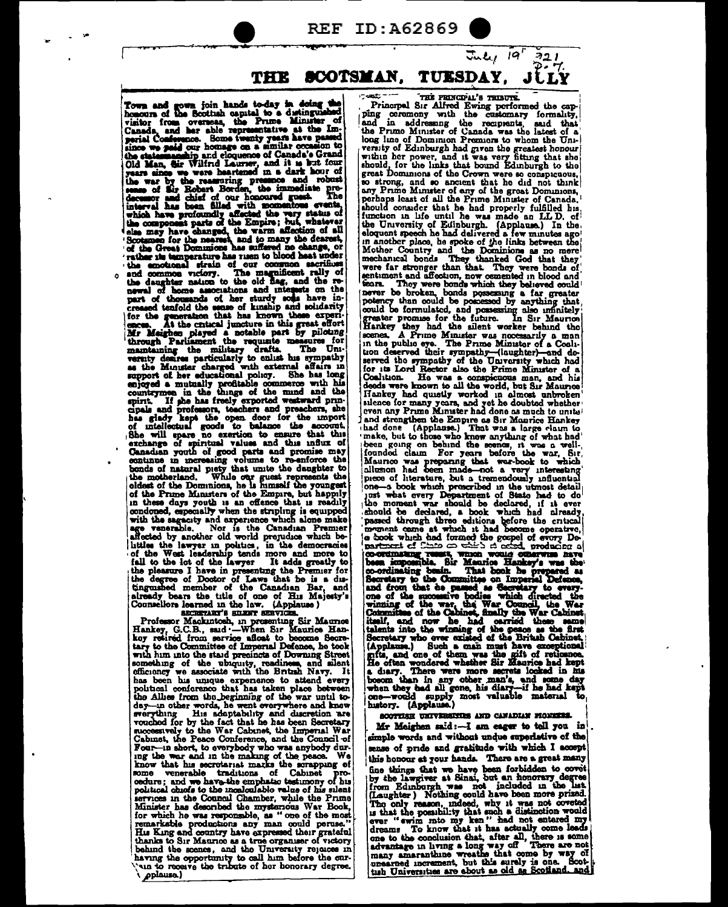**REF ID:A62869** 

THE SCOTSMAN. TUESDAY.

Town and gown join hands to-day in doing the honours of the Scottish capital to a disinguished visitor from overseas, the Prime Minuter of Canada, and her able representative at the Imperior of since we passed our homege o the emotional strain of our common sacrifices<br>and common vectory. The magnificent rally of<br>the daughter nation to the old date, and the re-<br>sevel of bone associations and integers on the<br>part of thousands of her sturdy sol support of her educational policy. She has long<br>enjoyed a mutually profitable commerce with his<br>countermean in the things of the mind and the<br>point. If she has freely exported weatward prin-<br>cipals and professors, teachers in these days youth is an offence that is readily in these days you is an one-count of complex in equipped with the sagecity and experience which alone make age venerable. Nor is the Canadian Premier affected by another old world prepudice which belittles the lawyer in politics, in the democracies of the West leadership tends more and more to

of the West leadership tends more and more to<br>fall to the lots of the lever it adds greatly to<br>the pleasure I have in presenting the Premier for<br>the degree of Doctor of Laws that he is a du-<br>tinguished member of the Canadi has been his unique experience to attend every political conforence that has taken place between<br>the Allies from the perming of the war until to-<br>day-in other words, he went everywhere and knew<br>overything His adoptability and discretion are<br>vouched for by the fact that know that his secretariat marks the scrapping of some venerable traditions of Cabinet codure; and we have traditions of Cabinet pro-<br>cedure; and we have the emphatic testimony of his<br>political chiefs to the mondculable value of his silent rvices in the Council Chamber, while the Prime services in the common communication manufacture and the mysterious War Book, for which he was responsible, as " one of the most remarkable productions any man could peruse."<br>His King and country have appressed their grate thanks to Sir Mauricy awe a tree organiser of victory<br>bahind the scenes, and the University replaces in<br>having the opportunity to call him before the cur-<br>van to receive the tribute of her honorary degree.

pplause.)

THE FRINCIPAL'S TRIBUTE.

 $\tau_{m}$ le 19'

 $721$ 

**CARE** The Paint of the discoveries of the contemporary of the principal Sir Alfred Ewing performed the capacity of principal compared in and in addressing the receptants, said that the Primo Minister of Canada was the latest of source community and so ancient that he did not think should conader that he had properly fulfilled his function in life until he was made an LL D. of the University of Edinburgh. (Applause.) In the eloquent speech he had delivered a few minutes ago singuran speech ne nad delivered a few minutes ago<br>
in another place, he spoke of the links between the<br>
Mother Country and the Dominions as no mere<br>
mechanical bonds<br>
They thanked God that they<br>
were far stronger than tha tears. They were bonds which they believed could<br>never be broken, bonds possessing a far greater<br>potency than could be formulated, and possessing also immitely<br>greater promise for the future. In Sir Maurice<br>Hankey they had for its Lord Rector also the Prime Minuster of a Coalition. He was a conspicuous man, and his deeds were known to all the world, but Sir Maurice becomes any part of the worked in almost unboken is<br>lence for many years, and yet he doubted whether even any Prime Minuter had done as much to unite even any rrime same are a done as much central<br>and stranghen the Empire as Sir Manrice Hankey<br>had done (Applause.) That was a large claim to<br>make, but to those who knew anything of what had<br>ideas going on behind the scenar latterion had deen mind-mote a corry interesting<br>these of hierarchies, but a transformation on-a book which preceived in the utmost detail<br>prese of hierarchy correlation of State had to del<br>he moment war should be deduced, piece of literature, but a tremendously influential no use when we more accrete locked in his bosom than in any other man's, and some day when they had all gone, his diary-if he had kept one-would supply most valuable material to have the (Applause.)

## SCOTTISH UNIVERSITES AND CANADIAN FIGNIERS.

Mr Meighen said:-I am eager to tell you in simple words and without undue superlative of the sense of pride and gratitude with which I accept this honour at your hands. There are a great many the things that we have been forbidden to covet<br>by the lawgiver at Sinai, but an honorary degree<br>from Edinburgh was not included in the last<br>(Laughter) Nothing could have been more prized. The only reason, indeed, why it was not overted<br>in that the possibility that such a distinction would<br>rever " ewin mto my ken" had not entered my<br>dreams To know that it has actually come leads ever " ewim mu my awm me metually come leads dreams To know that it has accually come leads one to the conclusion that, after all, there is some advantage in living a long way off There are not many amaranthine wreathe tha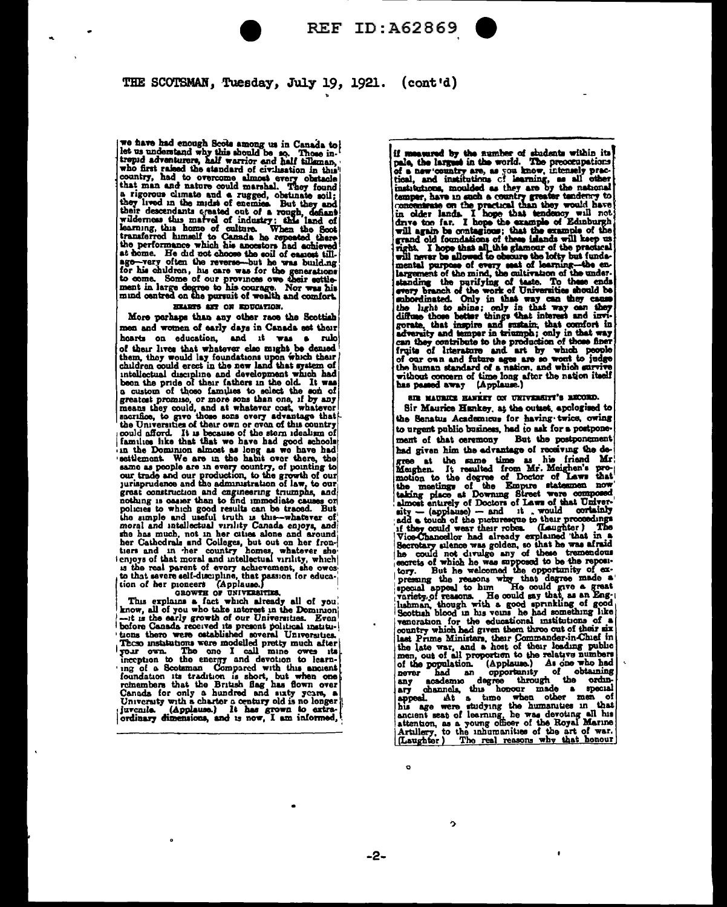

# THE SCOTSMAN, Tuesday, July 19, 1921. (cont'd)

we have had enough Scots among us in Canada to let us understand why this should be so. Those in-<br>trepud adventurers, half warrior and half tilleman,<br>who first raised the standard of civilization in this who first raised the standard of civilization in this"<br>country, had to overcome almost every obstacle that man and nature could marshal. They found<br>in it rigorous climate and a rugged, obstants soil;<br>they lived in the mids at home. He did not choose the soil of easiest tillas nome. He due to concess the soul or enables the product of the sense build ing for-very often the reverse-but he was build ing for the generations to come. Some of our provinces owe their estitement in large degree to h HEARTS ART ON EDUCATION.

More perhaps than any other race the Scottish men and women of early days in Canada set their hearts on education, and it was a rule noares on equestion, and it was a run of them lives that whetever clear only to them, they would lay foundations upon which their children could erect in the new land that system of intellectual discipline and development a custom of thoso families to select the son of greatest promise, or more some than one, if by any could, and a whatever cost, whatever nears the Universities of their own or even of this country could affect the Universit grast construction and cagineering trumphs, and nothing is caser than to find immediate causes or policies to which good results can be traced. But the simple and useful truth is this-whatever of moral and intellectual virility Canada enjoys, and moral and intellectual virility Canada enjoys, and<br>the has much, not in the cutes alone and avoid there cathedral and Colleges, but out on her from-<br>tiers and in the country homes, whatever she<br>ienjoys of that moral and in

This explana is fact which already all of you.<br>know, all of you who take interest in the Dominion<br>-it is the early growth of our Universities. Even<br>before Ganada received its present political institui before Canada received its present political institu-<br>
'tons there were ostablished several Universities.<br>
These installations were modelled pretty much after<br>
[your own. The one I call mine owes its<br>
inception to the en if measured by the number of shudents within its pale, the largest in the world. The precompations of a new country are, as you know, intensely practical, and institutions of learning, as all other institutions, moulded as nost, and unstations C'hemieg, as au construited as they are by the national temper, have in such a country greater tendency to concentrate on the practical than they would have in oder lands. I hope that tendency will not the human standard of a nation, and which survive without concern of time long after the nation itself<br>has passed away (Applause.)

are matterie hawker on third-sitt's BECORD.

Sir Maurice Hankey, at the outset, apologised to the Senatus Academicus for having twice, owing to urgent public business, had to ask for a postponement of that ceremony But the postponement had given him the advantage of receiving the dehad given him the edvantage of receiving the de-<br>gree at the same time as his friend Mr.<br>Magnen. It resulted from Mr. Maighn's pro-<br>motion to the degree of Doctor of Laws that<br>the meetings of the Empire statesmen now<br>takin he could not divulge any of these tremendous-<br>exercise of which he was supposed to be the reposition<br>form. But he welcomed the opportunity of ex-<br>pressing the reasons why that degree made a<br>special appeal to him. He could contration for the educational institutions of a<br>country which had given them throe out of their six<br>last Prime Ministers, their Commander-in-Chief in<br>the late war, and a host of their redung public<br>them, out of all propor

ï

 $-2-$ 

 $\ddot{\mathbf{c}}$ 

Ą